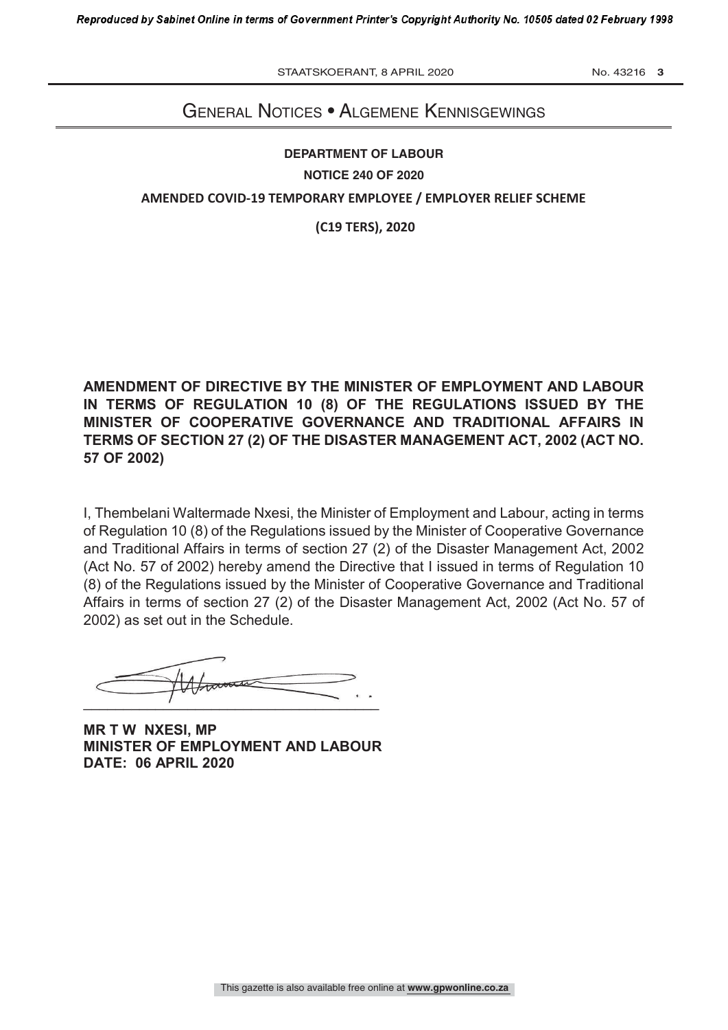STAATSKOERANT, 8 APRIL 2020 No. 43216 3

## GENERAL NOTICES • ALGEMENE KENNISGEWINGS

## **DEPARTMENT OF LABOUR NOTICE 240 OF 2020 AMENDED COVID-19 TEMPORARY EMPLOYEE / EMPLOYER RELIEF SCHEME**

**(C19 TERS), 2020**

**AMENDMENT OF DIRECTIVE BY THE MINISTER OF EMPLOYMENT AND LABOUR IN TERMS OF REGULATION 10 (8) OF THE REGULATIONS ISSUED BY THE MINISTER OF COOPERATIVE GOVERNANCE AND TRADITIONAL AFFAIRS IN TERMS OF SECTION 27 (2) OF THE DISASTER MANAGEMENT ACT, 2002 (ACT NO. 57 OF 2002)**

I, Thembelani Waltermade Nxesi, the Minister of Employment and Labour, acting in terms of Regulation 10 (8) of the Regulations issued by the Minister of Cooperative Governance and Traditional Affairs in terms of section 27 (2) of the Disaster Management Act, 2002 (Act No. 57 of 2002) hereby amend the Directive that I issued in terms of Regulation 10 (8) of the Regulations issued by the Minister of Cooperative Governance and Traditional Affairs in terms of section 27 (2) of the Disaster Management Act, 2002 (Act No. 57 of 2002) as set out in the Schedule.

 $\overline{\phantom{a}}$ 

**MR T W NXESI, MP MINISTER OF EMPLOYMENT AND LABOUR DATE: 06 APRIL 2020**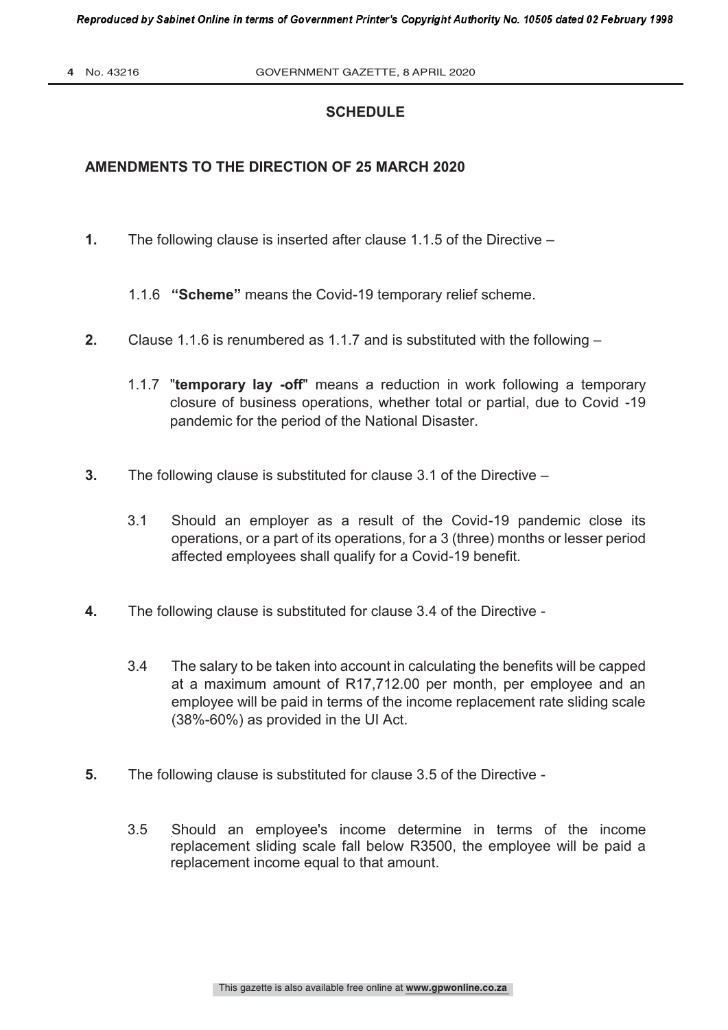## **SCHEDULE**

## **AMENDMENTS TO THE DIRECTION OF 25 MARCH 2020**

**1.** The following clause is inserted after clause 1.1.5 of the Directive –

1.1.6 **"Scheme"** means the Covid-19 temporary relief scheme.

- **2.** Clause 1.1.6 is renumbered as 1.1.7 and is substituted with the following
	- 1.1.7 "**temporary lay -off**" means a reduction in work following a temporary closure of business operations, whether total or partial, due to Covid -19 pandemic for the period of the National Disaster.
- **3.** The following clause is substituted for clause 3.1 of the Directive
	- 3.1 Should an employer as a result of the Covid-19 pandemic close its operations, or a part of its operations, for a 3 (three) months or lesser period affected employees shall qualify for a Covid-19 benefit.
- **4.** The following clause is substituted for clause 3.4 of the Directive
	- 3.4 The salary to be taken into account in calculating the benefits will be capped at a maximum amount of R17,712.00 per month, per employee and an employee will be paid in terms of the income replacement rate sliding scale (38%-60%) as provided in the UI Act.
- **5.** The following clause is substituted for clause 3.5 of the Directive
	- 3.5 Should an employee's income determine in terms of the income replacement sliding scale fall below R3500, the employee will be paid a replacement income equal to that amount.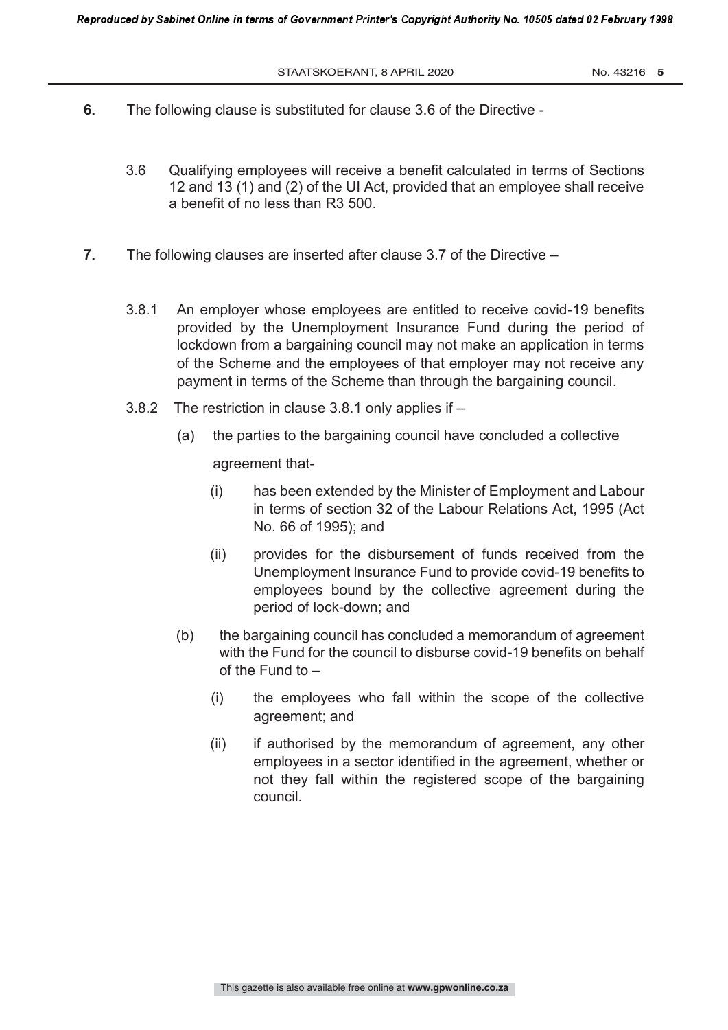- **6.** The following clause is substituted for clause 3.6 of the Directive
	- 3.6 Qualifying employees will receive a benefit calculated in terms of Sections 12 and 13 (1) and (2) of the UI Act, provided that an employee shall receive a benefit of no less than R3 500.
- **7.** The following clauses are inserted after clause 3.7 of the Directive
	- 3.8.1 An employer whose employees are entitled to receive covid-19 benefits provided by the Unemployment Insurance Fund during the period of lockdown from a bargaining council may not make an application in terms of the Scheme and the employees of that employer may not receive any payment in terms of the Scheme than through the bargaining council.
	- 3.8.2 The restriction in clause 3.8.1 only applies if
		- (a) the parties to the bargaining council have concluded a collective

agreement that-

- (i) has been extended by the Minister of Employment and Labour in terms of section 32 of the Labour Relations Act, 1995 (Act No. 66 of 1995); and
- (ii) provides for the disbursement of funds received from the Unemployment Insurance Fund to provide covid-19 benefits to employees bound by the collective agreement during the period of lock-down; and
- (b) the bargaining council has concluded a memorandum of agreement with the Fund for the council to disburse covid-19 benefits on behalf of the Fund to –
	- (i) the employees who fall within the scope of the collective agreement; and
	- (ii) if authorised by the memorandum of agreement, any other employees in a sector identified in the agreement, whether or not they fall within the registered scope of the bargaining council.